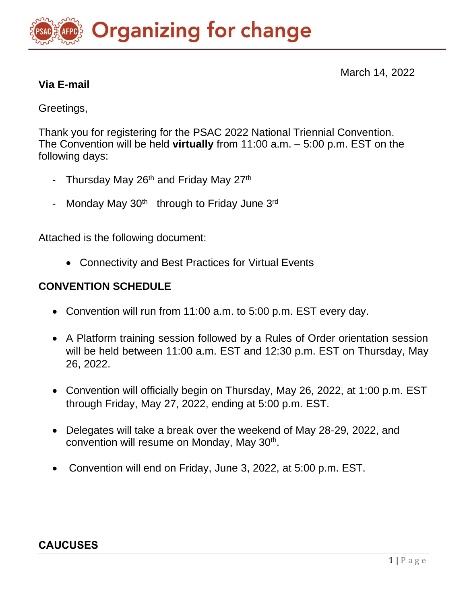# **Organizing for change**

March 14, 2022

# **Via E-mail**

Greetings,

Thank you for registering for the PSAC 2022 National Triennial Convention. The Convention will be held **virtually** from 11:00 a.m. – 5:00 p.m. EST on the following days:

- Thursday May  $26<sup>th</sup>$  and Friday May  $27<sup>th</sup>$
- Monday May  $30<sup>th</sup>$  through to Friday June  $3<sup>rd</sup>$

Attached is the following document:

• Connectivity and Best Practices for Virtual Events

# **CONVENTION SCHEDULE**

- Convention will run from 11:00 a.m. to 5:00 p.m. EST every day.
- A Platform training session followed by a Rules of Order orientation session will be held between 11:00 a.m. EST and 12:30 p.m. EST on Thursday, May 26, 2022.
- Convention will officially begin on Thursday, May 26, 2022, at 1:00 p.m. EST through Friday, May 27, 2022, ending at 5:00 p.m. EST.
- Delegates will take a break over the weekend of May 28-29, 2022, and convention will resume on Monday, May 30<sup>th</sup>.
- Convention will end on Friday, June 3, 2022, at 5:00 p.m. EST.

# **CAUCUSES**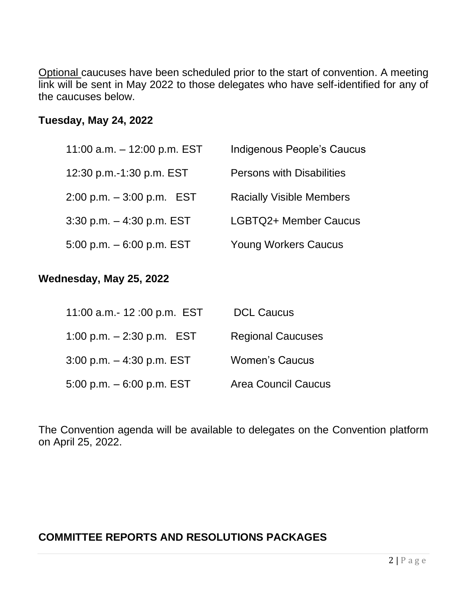Optional caucuses have been scheduled prior to the start of convention. A meeting link will be sent in May 2022 to those delegates who have self-identified for any of the caucuses below.

#### **Tuesday, May 24, 2022**

| 11:00 a.m. $-$ 12:00 p.m. EST | Indigenous People's Caucus       |
|-------------------------------|----------------------------------|
| 12:30 p.m.-1:30 p.m. EST      | <b>Persons with Disabilities</b> |
| $2:00$ p.m. $-3:00$ p.m. EST  | <b>Racially Visible Members</b>  |
| $3:30$ p.m. $-4:30$ p.m. EST  | LGBTQ2+ Member Caucus            |
| 5:00 p.m. $-6:00$ p.m. EST    | <b>Young Workers Caucus</b>      |

#### **Wednesday, May 25, 2022**

| 11:00 a.m.- 12:00 p.m. EST   | <b>DCL Caucus</b>          |
|------------------------------|----------------------------|
| 1:00 p.m. $-$ 2:30 p.m. EST  | <b>Regional Caucuses</b>   |
| $3:00$ p.m. $-4:30$ p.m. EST | <b>Women's Caucus</b>      |
| 5:00 p.m. $-6:00$ p.m. EST   | <b>Area Council Caucus</b> |

The Convention agenda will be available to delegates on the Convention platform on April 25, 2022.

## **COMMITTEE REPORTS AND RESOLUTIONS PACKAGES**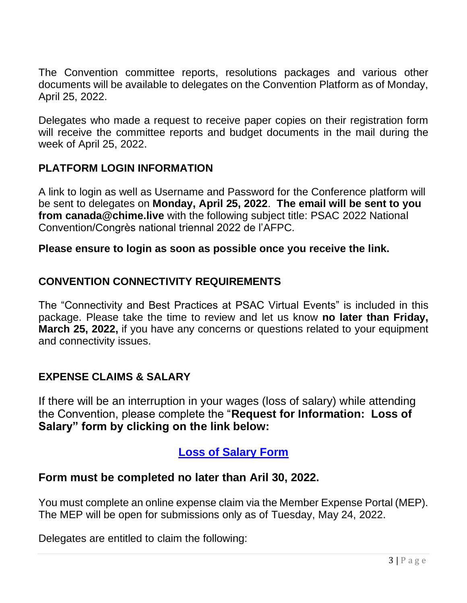The Convention committee reports, resolutions packages and various other documents will be available to delegates on the Convention Platform as of Monday, April 25, 2022.

Delegates who made a request to receive paper copies on their registration form will receive the committee reports and budget documents in the mail during the week of April 25, 2022.

# **PLATFORM LOGIN INFORMATION**

A link to login as well as Username and Password for the Conference platform will be sent to delegates on **Monday, April 25, 2022**. **The email will be sent to you from canada@chime.live** with the following subject title: PSAC 2022 National Convention/Congrès national triennal 2022 de l'AFPC.

#### **Please ensure to login as soon as possible once you receive the link.**

#### **CONVENTION CONNECTIVITY REQUIREMENTS**

The "Connectivity and Best Practices at PSAC Virtual Events" is included in this package. Please take the time to review and let us know **no later than Friday, March 25, 2022,** if you have any concerns or questions related to your equipment and connectivity issues.

#### **EXPENSE CLAIMS & SALARY**

If there will be an interruption in your wages (loss of salary) while attending the Convention, please complete the "**Request for Information: Loss of Salary" form by clicking on the link below:** 

# **[Loss of Salary Form](https://can01.safelinks.protection.outlook.com/?url=https%3A%2F%2Fforms.office.com%2Fr%2FQWMFuc7evj&data=04%7C01%7Cfelixg%40psac-afpc.com%7C2956bfc7f886419b223a08da036e99f5%7C0a1916b7be62452f905569e03ce73de3%7C0%7C0%7C637826070802057726%7CUnknown%7CTWFpbGZsb3d8eyJWIjoiMC4wLjAwMDAiLCJQIjoiV2luMzIiLCJBTiI6Ik1haWwiLCJXVCI6Mn0%3D%7C3000&sdata=779TGcEBV%2BjkM%2F1wrLT7DLbqsqTqzbd5rUa7%2FKSTjjc%3D&reserved=0)**

#### **Form must be completed no later than Aril 30, 2022.**

You must complete an online expense claim via the Member Expense Portal (MEP). The MEP will be open for submissions only as of Tuesday, May 24, 2022.

Delegates are entitled to claim the following: